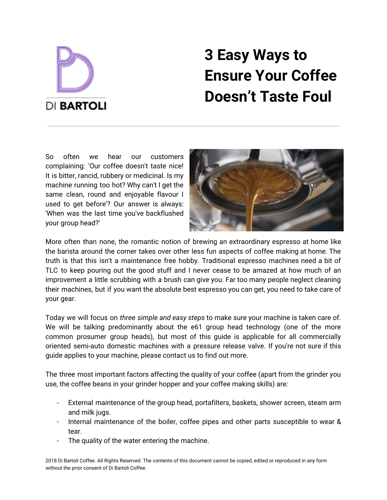

# **3 Easy Ways to Ensure Your Coffee Doesn't Taste Foul**

So often we hear our customers complaining: 'Our coffee doesn't taste nice! It is bitter, rancid, rubbery or medicinal. Is my machine running too hot? Why can't I get the same clean, round and enjoyable flavour I used to get before'? Our answer is always: 'When was the last time you've backflushed your group head?'



More often than none, the romantic notion of brewing an extraordinary espresso at home like the barista around the corner takes over other less fun aspects of coffee making at home. The truth is that this isn't a maintenance free hobby. Traditional espresso machines need a bit of TLC to keep pouring out the good stuff and I never cease to be amazed at how much of an improvement a little scrubbing with a brush can give you. Far too many people neglect cleaning their machines, but if you want the absolute best espresso you can get, you need to take care of your gear.

Today we will focus on *three simple and easy steps* to make sure your machine is taken care of. We will be talking predominantly about the e61 group head technology (one of the more common prosumer group heads), but most of this guide is applicable for all commercially oriented semi-auto domestic machines with a pressure release valve. If you're not sure if this guide applies to your machine, please contact us to find out more.

The three most important factors affecting the quality of your coffee (apart from the grinder you use, the coffee beans in your grinder hopper and your coffee making skills) are:

- External maintenance of the group head, portafilters, baskets, shower screen, steam arm and milk jugs.
- Internal maintenance of the boiler, coffee pipes and other parts susceptible to wear & tear.
- The quality of the water entering the machine.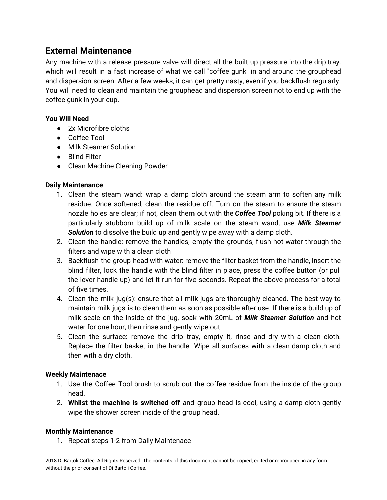## **External Maintenance**

Any machine with a release pressure valve will direct all the built up pressure into the drip tray, which will result in a fast increase of what we call "coffee gunk" in and around the grouphead and dispersion screen. After a few weeks, it can get pretty nasty, even if you backflush regularly. You will need to clean and maintain the grouphead and dispersion screen not to end up with the coffee gunk in your cup.

#### **You Will Need**

- 2x Microfibre cloths
- Coffee Tool
- Milk Steamer Solution
- Blind Filter
- Clean Machine Cleaning Powder

#### **Daily Maintenance**

- 1. Clean the steam wand: wrap a damp cloth around the steam arm to soften any milk residue. Once softened, clean the residue off. Turn on the steam to ensure the steam nozzle holes are clear; if not, clean them out with the *Coffee Tool* poking bit. If there is a particularly stubborn build up of milk scale on the steam wand, use *Milk Steamer Solution* to dissolve the build up and gently wipe away with a damp cloth.
- 2. Clean the handle: remove the handles, empty the grounds, flush hot water through the filters and wipe with a clean cloth
- 3. Backflush the group head with water: remove the filter basket from the handle, insert the blind filter, lock the handle with the blind filter in place, press the coffee button (or pull the lever handle up) and let it run for five seconds. Repeat the above process for a total of five times.
- 4. Clean the milk jug(s): ensure that all milk jugs are thoroughly cleaned. The best way to maintain milk jugs is to clean them as soon as possible after use. If there is a build up of milk scale on the inside of the jug, soak with 20mL of *Milk [Steamer](https://dibartoli.com.au/milk-steamer-solution-250ml/) Solution* and hot water for one hour, then rinse and gently wipe out
- 5. Clean the surface: remove the drip tray, empty it, rinse and dry with a clean cloth. Replace the filter basket in the handle. Wipe all surfaces with a clean damp cloth and then with a dry cloth.

#### **Weekly Maintenace**

- 1. Use the Coffee Tool brush to scrub out the coffee residue from the inside of the group head.
- 2. **Whilst the machine is switched off** and group head is cool, using a damp cloth gently wipe the shower screen inside of the group head.

#### **Monthly Maintenance**

1. Repeat steps 1-2 from Daily Maintenace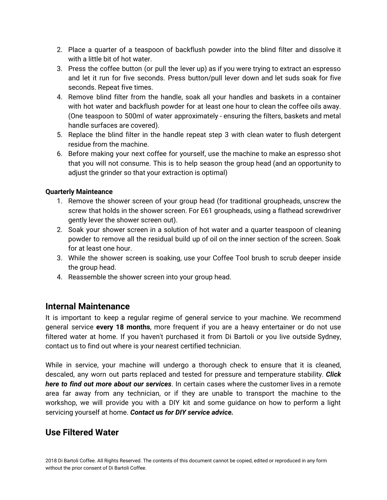- 2. Place a quarter of a teaspoon of backflush powder into the blind filter and dissolve it with a little bit of hot water.
- 3. Press the coffee button (or pull the lever up) as if you were trying to extract an espresso and let it run for five seconds. Press button/pull lever down and let suds soak for five seconds. Repeat five times.
- 4. Remove blind filter from the handle, soak all your handles and baskets in a container with hot water and backflush powder for at least one hour to clean the coffee oils away. (One teaspoon to 500ml of water approximately - ensuring the filters, baskets and metal handle surfaces are covered).
- 5. Replace the blind filter in the handle repeat step 3 with clean water to flush detergent residue from the machine.
- 6. Before making your next coffee for yourself, use the machine to make an espresso shot that you will not consume. This is to help season the group head (and an opportunity to adjust the grinder so that your extraction is optimal)

#### **Quarterly Mainteance**

- 1. Remove the shower screen of your group head (for traditional groupheads, unscrew the screw that holds in the shower screen. For E61 groupheads, using a flathead screwdriver gently lever the shower screen out).
- 2. Soak your shower screen in a solution of hot water and a quarter teaspoon of cleaning powder to remove all the residual build up of oil on the inner section of the screen. Soak for at least one hour.
- 3. While the shower screen is soaking, use your Coffee Tool brush to scrub deeper inside the group head.
- 4. Reassemble the shower screen into your group head.

## **Internal Maintenance**

It is important to keep a regular regime of general service to your machine. We recommend general service **every 18 months**, more frequent if you are a heavy entertainer or do not use filtered water at home. If you haven't purchased it from Di Bartoli or you live outside Sydney, contact us to find out where is your nearest certified technician.

While in service, your machine will undergo a thorough check to ensure that it is cleaned, descaled, any worn out parts replaced and tested for pressure and temperature stability. *[Click](https://dibartoli.com.au/service-centre/) here to find out more about our [services](https://dibartoli.com.au/service-centre/)*. In certain cases where the customer lives in a remote area far away from any technician, or if they are unable to transport the machine to the workshop, we will provide you with a DIY kit and some guidance on how to perform a light servicing yourself at home. *Contact us for DIY service advice.*

## **Use Filtered Water**